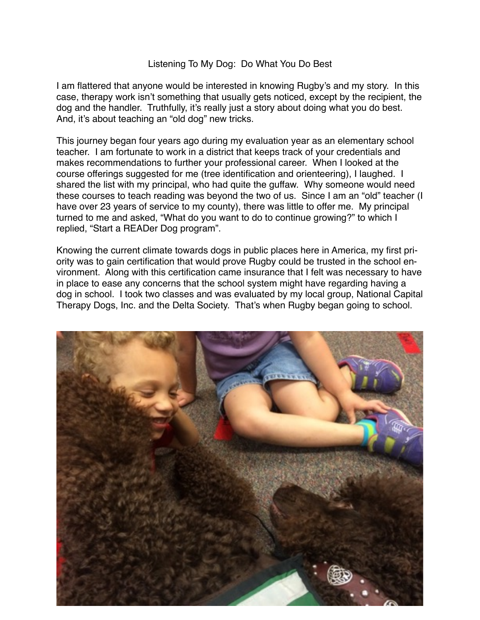## Listening To My Dog: Do What You Do Best

I am flattered that anyone would be interested in knowing Rugby's and my story. In this case, therapy work isn't something that usually gets noticed, except by the recipient, the dog and the handler. Truthfully, it's really just a story about doing what you do best. And, it's about teaching an "old dog" new tricks.

This journey began four years ago during my evaluation year as an elementary school teacher. I am fortunate to work in a district that keeps track of your credentials and makes recommendations to further your professional career. When I looked at the course offerings suggested for me (tree identification and orienteering), I laughed. I shared the list with my principal, who had quite the guffaw. Why someone would need these courses to teach reading was beyond the two of us. Since I am an "old" teacher (I have over 23 years of service to my county), there was little to offer me. My principal turned to me and asked, "What do you want to do to continue growing?" to which I replied, "Start a READer Dog program".

Knowing the current climate towards dogs in public places here in America, my first priority was to gain certification that would prove Rugby could be trusted in the school environment. Along with this certification came insurance that I felt was necessary to have in place to ease any concerns that the school system might have regarding having a dog in school. I took two classes and was evaluated by my local group, National Capital Therapy Dogs, Inc. and the Delta Society. That's when Rugby began going to school.

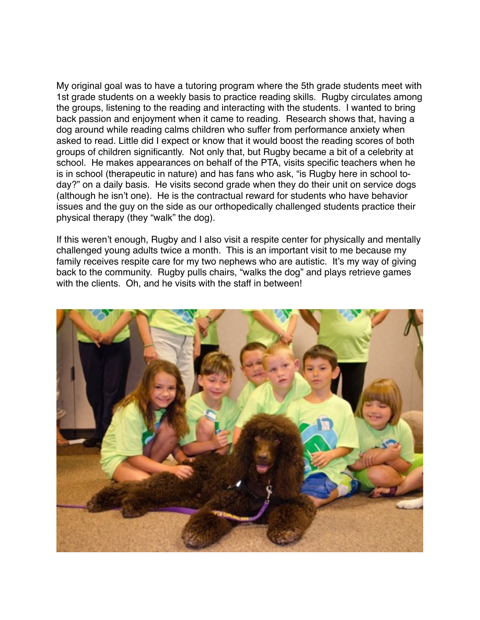My original goal was to have a tutoring program where the 5th grade students meet with 1st grade students on a weekly basis to practice reading skills. Rugby circulates among the groups, listening to the reading and interacting with the students. I wanted to bring back passion and enjoyment when it came to reading. Research shows that, having a dog around while reading calms children who suffer from performance anxiety when asked to read. Little did I expect or know that it would boost the reading scores of both groups of children significantly. Not only that, but Rugby became a bit of a celebrity at school. He makes appearances on behalf of the PTA, visits specific teachers when he is in school (therapeutic in nature) and has fans who ask, "is Rugby here in school today?" on a daily basis. He visits second grade when they do their unit on service dogs (although he isn't one). He is the contractual reward for students who have behavior issues and the guy on the side as our orthopedically challenged students practice their physical therapy (they "walk" the dog).

If this weren't enough, Rugby and I also visit a respite center for physically and mentally challenged young adults twice a month. This is an important visit to me because my family receives respite care for my two nephews who are autistic. It's my way of giving back to the community. Rugby pulls chairs, "walks the dog" and plays retrieve games with the clients. Oh, and he visits with the staff in between!

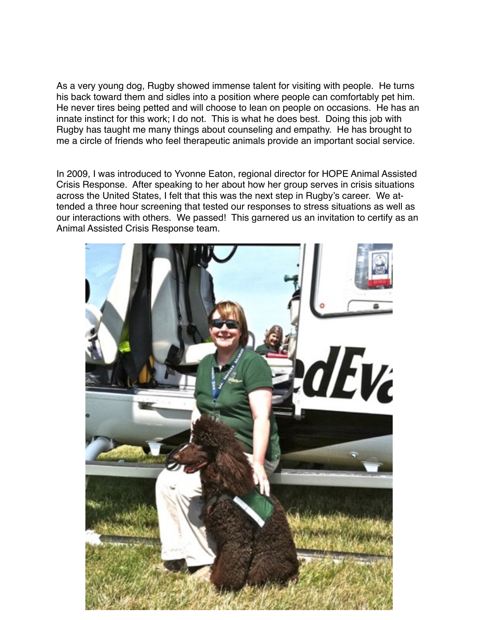As a very young dog, Rugby showed immense talent for visiting with people. He turns his back toward them and sidles into a position where people can comfortably pet him. He never tires being petted and will choose to lean on people on occasions. He has an innate instinct for this work; I do not. This is what he does best. Doing this job with Rugby has taught me many things about counseling and empathy. He has brought to me a circle of friends who feel therapeutic animals provide an important social service.

In 2009, I was introduced to Yvonne Eaton, regional director for HOPE Animal Assisted Crisis Response. After speaking to her about how her group serves in crisis situations across the United States, I felt that this was the next step in Rugby's career. We attended a three hour screening that tested our responses to stress situations as well as our interactions with others. We passed! This garnered us an invitation to certify as an Animal Assisted Crisis Response team.

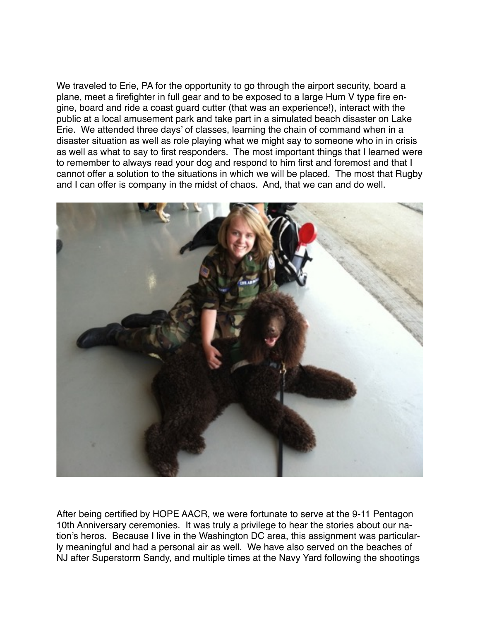We traveled to Erie, PA for the opportunity to go through the airport security, board a plane, meet a firefighter in full gear and to be exposed to a large Hum V type fire engine, board and ride a coast guard cutter (that was an experience!), interact with the public at a local amusement park and take part in a simulated beach disaster on Lake Erie. We attended three days' of classes, learning the chain of command when in a disaster situation as well as role playing what we might say to someone who in in crisis as well as what to say to first responders. The most important things that I learned were to remember to always read your dog and respond to him first and foremost and that I cannot offer a solution to the situations in which we will be placed. The most that Rugby and I can offer is company in the midst of chaos. And, that we can and do well.



After being certified by HOPE AACR, we were fortunate to serve at the 9-11 Pentagon 10th Anniversary ceremonies. It was truly a privilege to hear the stories about our nation's heros. Because I live in the Washington DC area, this assignment was particularly meaningful and had a personal air as well. We have also served on the beaches of NJ after Superstorm Sandy, and multiple times at the Navy Yard following the shootings